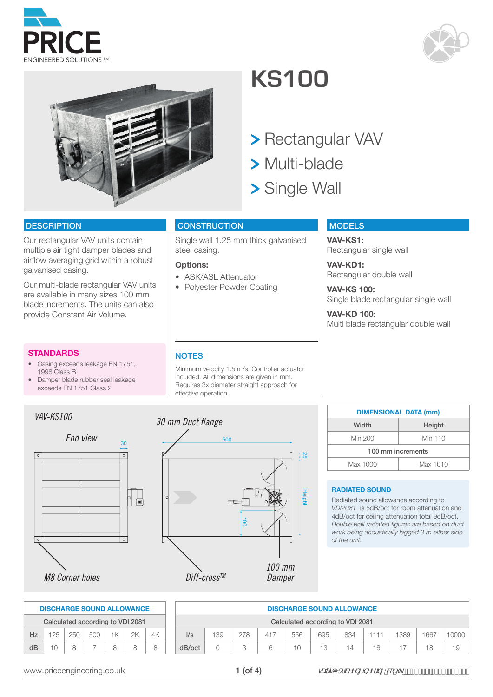



*30 mm Duct flange*

#### included. All dimensions are given in mm. Requires 3x diameter straight approach for effective operation.

### **NOTES**

Minimum velocity 1.5 m/s. Controller actuator

# **KS100**

- > Rectangular VAV
- Multi-blade
- > Single Wall

#### **CONSTRUCTION**

Single wall 1.25 mm thick galvanised steel casing.

#### **Options:**

- ASK/ASL Attenuator
- Polyester Powder Coating

#### **MODELS**

**VAV-KS1:** Rectangular single wall

**VAV-KD1:** Rectangular double wall

**VAV-KS 100:** Single blade rectangular single wall

**VAV-KD 100:** Multi blade rectangular double wall

### **RADIATED SOUND**

Radiated sound allowance according to *VDI2081* is 5dB/oct for room attenuation and 4dB/oct for ceiling attenuation total 9dB/oct. *Double wall radiated figures are based on duct work being acoustically lagged 3 m either side of the unit.*

**DIMENSIONAL DATA (mm)** Width | Height Min 200 Min 110 100 mm increments Max 1000 Max 1010

| <b>DISCHARGE SOUND ALLOWANCE</b> |     |     |     |     |     |     |      |      |      |      |  |  |  |  |
|----------------------------------|-----|-----|-----|-----|-----|-----|------|------|------|------|--|--|--|--|
| Calculated according to VDI 2081 |     |     |     |     |     |     |      |      |      |      |  |  |  |  |
| $\mathsf{I/s}$                   | 139 | 278 | 417 | 556 | 695 | 834 | 1111 | 1389 | 1667 | 0000 |  |  |  |  |
| dB/oct                           |     |     | 6   | 10  | 13  | 14  | 16   |      | 18   | 19.  |  |  |  |  |

 $\frac{1}{2}$ 



*VAV-KS100*

**STANDARDS**

1998 Class B

**DESCRIPTION** 

galvanised casing.

Our rectangular VAV units contain multiple air tight damper blades and airflow averaging grid within a robust

Our multi-blade rectangular VAV units are available in many sizes 100 mm blade increments. The units can also

provide Constant Air Volume.

• Casing exceeds leakage EN 1751,

• Damper blade rubber seal leakage exceeds EN 1751 Class 2

| 500                   |                  |
|-----------------------|------------------|
|                       |                  |
|                       |                  |
|                       |                  |
|                       |                  |
| $\overrightarrow{00}$ |                  |
|                       |                  |
|                       |                  |
| Diff-cross™           | 100 mm<br>Damper |

1 (of 4)

| $\circ$                          | $\circ$ |
|----------------------------------|---------|
|                                  |         |
| <b>M8 Corner holes</b>           |         |
|                                  |         |
| <b>DISCHARGE SOUND ALLOWANCE</b> |         |

|                                  | <b>DISCHARGE SOUND ALLOWANCE</b> |     |     |    |    |    |  |  |  |  |  |  |  |
|----------------------------------|----------------------------------|-----|-----|----|----|----|--|--|--|--|--|--|--|
| Calculated according to VDI 2081 |                                  |     |     |    |    |    |  |  |  |  |  |  |  |
| Hz.                              | 125                              | 250 | 500 | 1K | 2K | 4K |  |  |  |  |  |  |  |
| $\overline{AB}$                  | 10                               | я   |     | я  | Ω  |    |  |  |  |  |  |  |  |



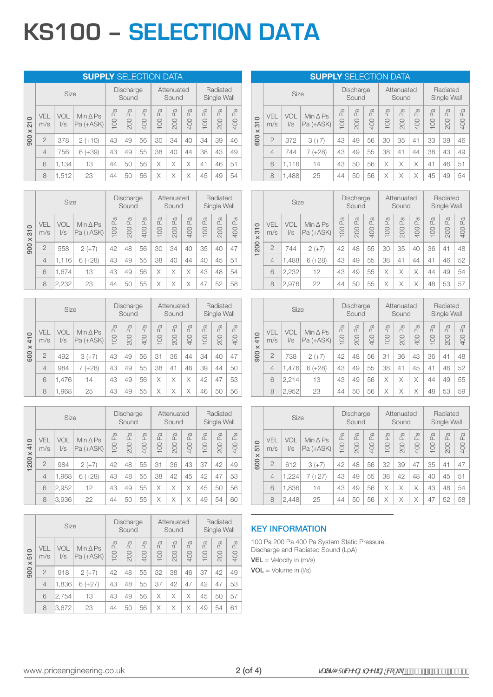## **KS100 – SELECTION DATA**

|                                        | <b>SUPPLY SELECTION DATA</b> |                   |                                   |           |                                  |                             |          |                     |                     |                       |                         |                 |  |  |
|----------------------------------------|------------------------------|-------------------|-----------------------------------|-----------|----------------------------------|-----------------------------|----------|---------------------|---------------------|-----------------------|-------------------------|-----------------|--|--|
|                                        |                              | Size              |                                   |           | Discharge<br>Sound               |                             |          | Attenuated<br>Sound |                     |                       | Radiated<br>Single Wall |                 |  |  |
| $\circ$<br>$\overline{21}$<br>$\times$ | VEL<br>m/s                   | VOL<br>$\sqrt{s}$ | Min $\triangle$ Ps<br>$Pa (+ASK)$ | Pa<br>100 | $\mathbb{P}_{\mathbb{Q}}$<br>200 | P <sub>a</sub><br><b>00</b> | Æ<br>100 | Pa<br>200           | $\mathbb{E}$<br>400 | P <sub>a</sub><br>100 | Pa<br>200               | Pa<br><b>00</b> |  |  |
| 900                                    | $\overline{2}$               | 378               | $2 (+10)$                         | 43        | 49                               | 56                          | 30       | 34                  | 40                  | 34                    | 39                      | 46              |  |  |
|                                        | $\overline{4}$               | 756               | $6 (+39)$                         | 43        | 49                               | 55                          | 38       | 40                  | 44                  | 38                    | 43                      | 49              |  |  |
|                                        | 6                            | 1,134             | 13                                | 44        | 50                               | 56                          | X        | Χ                   | X                   | 41                    | 46                      | 51              |  |  |
|                                        | 8                            | 1,512             | 23                                | 44        | 50                               | 56                          | Χ        | X                   | X                   | 45                    | 49                      | 54              |  |  |

|                                       |                | <b>Size</b>       |                                 | Discharge<br>Sound |                     |                          | Attenuated<br>Sound   |           |                | Radiated<br>Single Wall |                      |                     |
|---------------------------------------|----------------|-------------------|---------------------------------|--------------------|---------------------|--------------------------|-----------------------|-----------|----------------|-------------------------|----------------------|---------------------|
| $\circ$<br>$\overline{5}$<br>$\times$ | VEL<br>m/s     | VOL<br>$\sqrt{s}$ | Min $\triangle$ Ps<br>Pa (+ASK) | Pa<br>100          | $\mathbb{R}$<br>200 | Φ<br>$\mathbf{r}$<br>400 | P <sub>a</sub><br>100 | Pa<br>200 | Pa<br>D<br>400 | P <sub>a</sub><br>100   | Φ<br>$\alpha$<br>200 | $\mathbb{R}$<br>400 |
| 900                                   | $\overline{2}$ | 558               | $2 (+7)$                        | 42                 | 48                  | 56                       | 30                    | 34        | 40             | 35                      | 40                   | 47                  |
|                                       | $\overline{4}$ | 1,116             | $6 (+28)$                       | 43                 | 49                  | 55                       | 38                    | 40        | 44             | 40                      | 45                   | 51                  |
|                                       | 6              | 1,674             | 13                              | 43                 | 49                  | 56                       | Χ                     | Χ         | Χ              | 43                      | 48                   | 54                  |
|                                       | 8              | 2,232             | 23                              | 44                 | 50                  | 55                       | Χ                     | Χ         | Χ              | 47                      | 52                   | 58                  |

|                                             |                | <b>Size</b>       |                                   | Discharge<br>Sound |           |                     |           | Attenuated<br>Sound |                              | Radiated<br>Single Wall |           |           |
|---------------------------------------------|----------------|-------------------|-----------------------------------|--------------------|-----------|---------------------|-----------|---------------------|------------------------------|-------------------------|-----------|-----------|
| $\circ$<br>$\overline{4}$<br>$\pmb{\times}$ | VEL<br>m/s     | VOL<br>$\sqrt{s}$ | $Min \triangle PS$<br>$Pa (+ASK)$ | Pa<br>100          | Pa<br>200 | $\mathbb{R}$<br>400 | Pa<br>100 | Pa<br>200           | $\mathbb{P}^{\alpha}$<br>400 | Pa<br>100               | Pa<br>200 | Pa<br>400 |
| 600                                         | $\overline{2}$ | 492               | $3 (+7)$                          | 43                 | 49        | 56                  | 31        | 36                  | 44                           | 34                      | 40        | 47        |
|                                             | $\overline{4}$ | 984               | $7 (+28)$                         | 43                 | 49        | 55                  | 38        | 41                  | 46                           | 39                      | 44        | 50        |
|                                             | 6              | 1,476             | 14                                | 43                 | 49        | 56                  | Χ         | X                   | Χ                            | 42                      | 47        | 53        |
|                                             | 8              | 1,968             | 25                                | 43                 | 49        | 55                  | Χ         | Χ                   | Χ                            | 46                      | 50        | 56        |

|                                       |                | Size              |                                   |                     | Discharge<br>Sound  |                     |                     | Attenuated<br>Sound   |                           |                     | Radiated<br>Single Wall |                     |
|---------------------------------------|----------------|-------------------|-----------------------------------|---------------------|---------------------|---------------------|---------------------|-----------------------|---------------------------|---------------------|-------------------------|---------------------|
| $\circ$<br>$\overline{4}$<br>$\times$ | VEL<br>m/s     | VOL<br>$\sqrt{s}$ | Min $\triangle$ Ps<br>$Pa (+ASK)$ | $\mathbb{R}$<br>100 | $\mathbb{R}$<br>200 | $\mathbb{R}$<br>400 | $\mathbb{R}$<br>100 | P <sub>a</sub><br>200 | $\sigma$<br>$\Box$<br>400 | $\mathbb{R}$<br>100 | Pa<br>200               | $\mathbb{R}$<br>400 |
| 1200                                  | $\overline{2}$ | 984               | $2 (+7)$                          | 42                  | 48                  | 55                  | 31                  | 36                    | 43                        | 37                  | 42                      | 49                  |
|                                       | $\overline{4}$ | 1,968             | $6 (+28)$                         | 43                  | 48                  | 55                  | 38                  | 42                    | 45                        | 42                  | 47                      | 53                  |
|                                       | 6              | 2,952             | 12                                | 43                  | 49                  | 55                  | X                   | Χ                     | X                         | 45                  | 50                      | 56                  |
|                                       | 8              | 3,936             | 22                                | 44                  | 50                  | 55                  | X                   | Χ                     | X                         | 49                  | 54                      | 60                  |

|                           |                | Size              |                                   |         | <b>Discharge</b><br>Sound |                     |          | Attenuated<br>Sound |           |           | Radiated<br>Single Wall |                          |
|---------------------------|----------------|-------------------|-----------------------------------|---------|---------------------------|---------------------|----------|---------------------|-----------|-----------|-------------------------|--------------------------|
| $\circ$<br>51<br>$\times$ | VEL<br>m/s     | VOL<br>$\sqrt{s}$ | $Min \triangle PS$<br>$Pa (+ASK)$ | Pa<br>8 | Lã<br>200                 | $\mathbb{R}$<br>400 | Æ<br>100 | Pa<br>200           | Pa<br>400 | Pa<br>100 | P <sub>a</sub><br>200   | $\sigma$<br>$\Box$<br>00 |
| 900                       | $\overline{2}$ | 918               | $2 (+7)$                          | 42      | 48                        | 55                  | 32       | 38                  | 46        | 37        | 42                      | 49                       |
|                           | $\overline{4}$ | 1,836             | $6 (+27)$                         | 43      | 48                        | 55                  | 37       | 42                  | 47        | 42        | 47                      | 53                       |
|                           | 6              | 2,754             | 13                                | 43      | 49                        | 56                  | X        | X                   | X         | 45        | 50                      | 57                       |
|                           | 8              | 3.672             | 23                                | 44      | 50                        | 56                  | X        | Χ                   | Χ         | 49        | 54                      | 61                       |

#### **SUPPLY** SELECTION DATA

|                                       |                | Size              |                                   |                     | Discharge<br>Sound    |           |                              | Attenuated<br>Sound |          |           | Radiated<br>Single Wall |                       |  |
|---------------------------------------|----------------|-------------------|-----------------------------------|---------------------|-----------------------|-----------|------------------------------|---------------------|----------|-----------|-------------------------|-----------------------|--|
| $\circ$<br>$\overline{5}$<br>$\times$ | VEL<br>m/s     | VOL<br>$\sqrt{s}$ | $Min \triangle PS$<br>$Pa (+ASK)$ | $\mathbb{E}$<br>100 | P <sub>a</sub><br>200 | Pa<br>400 | $\mathbb{P}^{\alpha}$<br>100 | Pa<br>200           | Pa<br>00 | Pa<br>100 | Pa<br>200               | P <sub>a</sub><br>400 |  |
| 600                                   | $\overline{2}$ | 372               | $3 (+7)$                          | 43                  | 49                    | 56        | 30                           | 35                  | 41       | 33        | 39                      | 46                    |  |
|                                       | $\overline{4}$ | 744               | $7 (+28)$                         | 43                  | 49                    | 55        | 38                           | 41                  | 44       | 38        | 43                      | 49                    |  |
|                                       | 6              | 1,116             | 14                                | 43                  | 50                    | 56        | X                            | Χ                   | Χ        | 41        | 46                      | 51                    |  |
|                                       | 8              | 1,488             | 25                                | 44                  | 50                    | 56        | X                            |                     | Χ        | 45        | 49                      | 54                    |  |

|                 |                   | <b>Size</b>       |                                 |                     | <b>Discharge</b><br>Sound |                       |                                  | Attenuated<br>Sound   |           |                     | Radiated<br>Single Wall     |        |  |
|-----------------|-------------------|-------------------|---------------------------------|---------------------|---------------------------|-----------------------|----------------------------------|-----------------------|-----------|---------------------|-----------------------------|--------|--|
| 310<br>$\times$ | <b>VEL</b><br>m/s | VOL<br>$\sqrt{s}$ | Min $\triangle$ Ps<br>Pa (+ASK) | $\mathbb{R}$<br>100 | $\mathbb{R}$<br>200       | P <sub>a</sub><br>400 | $\mathbb{P}_{\mathbb{Q}}$<br>100 | $\sigma$<br>ΩĹ<br>200 | Pa<br>400 | $\mathbb{R}$<br>100 | $\sigma$<br>$\alpha$<br>200 | 400 Pa |  |
| 1200            | $\overline{2}$    | 744               | $2 (+7)$                        | 42                  | 48                        | 55                    | 30                               | 35                    | 40        | 36                  | 41                          | 48     |  |
|                 | $\overline{4}$    | 1,488             | $6 (+28)$                       | 43                  | 49                        | 55                    | 38                               | 41                    | 44        | 41                  | 46                          | 52     |  |
|                 | 6                 | 2,232             | 12                              | 43                  | 49                        | 55                    | X                                | X                     | Χ         | 44                  | 49                          | 54     |  |
|                 | 8                 | 2,976             | 22                              | 44                  | 50                        | 55                    | X                                | Χ                     | Χ         | 48                  | 53                          | 57     |  |

|                                      |                | Size       |                                   |                     | Discharge<br>Sound               |           |                       | Attenuated<br>Sound              |           |           | Radiated<br>Single Wall |           |  |
|--------------------------------------|----------------|------------|-----------------------------------|---------------------|----------------------------------|-----------|-----------------------|----------------------------------|-----------|-----------|-------------------------|-----------|--|
| $\circ$<br>$\frac{1}{4}$<br>$\times$ | VEL<br>m/s     | VOL<br>I/s | $Min \triangle PS$<br>$Pa (+ASK)$ | P <sub>a</sub><br>8 | $\mathbb{P}_{\mathbb{Q}}$<br>200 | Pa<br>400 | P <sub>a</sub><br>100 | $\mathbb{P}_{\mathbb{Q}}$<br>200 | Pa<br>400 | Pa<br>100 | $\mathbb{R}$<br>200     | Pa<br>400 |  |
| 900                                  | $\overline{2}$ | 738        | $2 (+7)$                          | 42                  | 48                               | 56        | 31                    | 36                               | 43        | 36        | 41                      | 48        |  |
|                                      | $\overline{4}$ | 1,476      | $6 (+28)$                         | 43                  | 49                               | 55        | 38                    | 41                               | 45        | 41        | 46                      | 52        |  |
|                                      | 6              | 2,214      | 13                                | 43                  | 49                               | 56        | X                     | X                                | X         | 44        | 49                      | 55        |  |
|                                      | 8              | 2,952      | 23                                | 44                  | 50                               | 56        | Χ                     | Χ                                | Χ         | 48        | 53                      | 59        |  |

|                                  |                | Size       |                                 |                     | Discharge<br>Sound  |                              |           | Attenuated<br>Sound |                     |                     | Radiated<br>Single Wall         |                     |
|----------------------------------|----------------|------------|---------------------------------|---------------------|---------------------|------------------------------|-----------|---------------------|---------------------|---------------------|---------------------------------|---------------------|
| $\circ$<br>57<br>$\times$<br>600 | VEL<br>m/s     | VOL<br>I/s | $Min \triangle PS$<br>Pa (+ASK) | $\mathbb{Z}$<br>100 | $\mathbb{R}$<br>200 | $\mathbb{P}^{\alpha}$<br>400 | Pa<br>100 | $\mathbb{R}$<br>200 | $\mathbb{R}$<br>400 | $\mathbb{R}$<br>100 | $\sigma$<br>$\mathbf{r}$<br>200 | $\mathbb{R}$<br>400 |
|                                  | $\overline{2}$ | 612        | $3 (+7)$                        | 42                  | 48                  | 56                           | 32        | 39                  | 47                  | 35                  | 41                              | 47                  |
|                                  | $\overline{4}$ | 1,224      | $(+27)$<br>7                    | 43                  | 49                  | 55                           | 38        | 42                  | 48                  | 40                  | 45                              | 51                  |
|                                  | 6              | 1,836      | 14                              | 43                  | 49                  | 56                           | $\times$  | X                   | X                   | 43                  | 48                              | 54                  |
|                                  | 8              | 2,448      | 25                              | 44                  | 50                  | 56                           | X         | X                   | Χ                   | 47                  | 52                              | 58                  |

#### KEY INFORMATION

100 Pa 200 Pa 400 Pa System Static Pressure. Discharge and Radiated Sound (LpA)  $VEL = Velocity in (m/s)$  $VOL = Volume in (l/s)$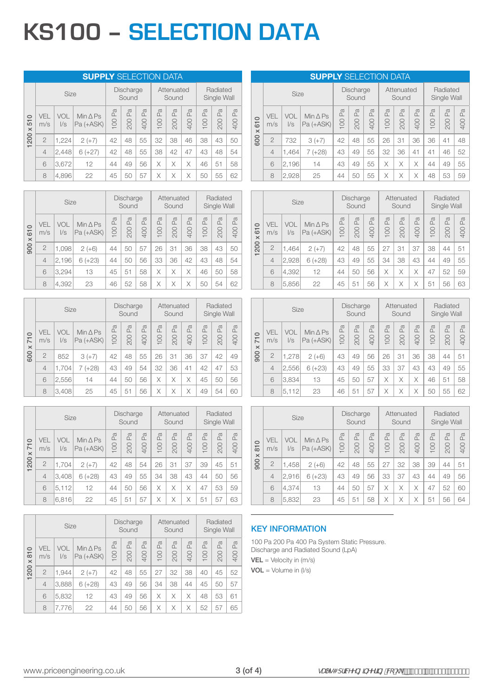## **KS100 – SELECTION DATA**

|                                |                   |                   | <b>SUPPLY SELECTION DATA</b>      |           |                           |                 |           |                     |                     |           |                         |                           |
|--------------------------------|-------------------|-------------------|-----------------------------------|-----------|---------------------------|-----------------|-----------|---------------------|---------------------|-----------|-------------------------|---------------------------|
|                                |                   | <b>Size</b>       |                                   |           | <b>Discharge</b><br>Sound |                 |           | Attenuated<br>Sound |                     |           | Radiated<br>Single Wall |                           |
| $\circ$<br>51<br>$\,\varkappa$ | <b>VFI</b><br>m/s | VOL<br>$\sqrt{s}$ | Min $\triangle$ Ps<br>$Pa (+ASK)$ | Pa<br>100 | P <sub>a</sub><br>200     | Pa<br><b>00</b> | Pa<br>100 | Pa<br>200           | $\mathbb{Z}$<br>400 | Pa<br>100 | Pa<br>200               | $\mathbb{E}$<br><b>00</b> |
| 200                            | $\overline{2}$    | 1,224             | $2 (+7)$                          | 42        | 48                        | 55              | 32        | 38                  | 46                  | 38        | 43                      | 50                        |
| $\overline{\phantom{0}}$       | $\overline{4}$    | 2,448             | $6 (+27)$                         | 42        | 48                        | 55              | 38        | 42                  | 47                  | 43        | 48                      | 54                        |
|                                | 6                 | 3,672             | 12                                | 44        | 49                        | 56              | Χ         | Χ                   | X                   | 46        | 51                      | 58                        |
|                                | 8                 | 4,896             | 22                                | 45        | 50                        | 57              | Χ         | X                   | X                   | 50        | 55                      | 62                        |

|                                       |                | <b>Size</b>       |                                   |                     | Discharge<br>Sound |               |                            | Attenuated<br>Sound |                     |                            | Radiated<br>Single Wall  |                             |
|---------------------------------------|----------------|-------------------|-----------------------------------|---------------------|--------------------|---------------|----------------------------|---------------------|---------------------|----------------------------|--------------------------|-----------------------------|
| $\circ$<br>$\overline{5}$<br>$\times$ | VFI.<br>m/s    | VOL<br>$\sqrt{s}$ | $Min \triangle PS$<br>$Pa (+ASK)$ | $\mathbb{R}$<br>100 | Pa<br>200          | Φ<br>≏<br>400 | a<br>$\mathfrak{a}$<br>100 | a<br>L<br>200       | $\mathbb{R}$<br>400 | Φ<br>$\mathfrak{a}$<br>100 | a<br>$\mathbf{r}$<br>200 | $\sigma$<br>$\Omega$<br>400 |
| 900                                   | $\overline{2}$ | 1,098             | $2 (+6)$                          | 44                  | 50                 | 57            | 26                         | 31                  | 36                  | 38                         | 43                       | 50                          |
|                                       | $\overline{4}$ | 2,196             | $6 (+23)$                         | 44                  | 50                 | 56            | 33                         | 36                  | 42                  | 43                         | 48                       | 54                          |
|                                       | 6              | 3,294             | 13                                | 45                  | 51                 | 58            | Χ                          | Χ                   | X                   | 46                         | 50                       | 58                          |
|                                       | 8              | 4,392             | 23                                | 46                  | 52                 | 58            | Χ                          | Χ                   | Χ                   | 50                         | 54                       | 62                          |

|                                   |                | <b>Size</b>       |                                   |           | <b>Discharge</b><br>Sound |                       |           | Attenuated<br>Sound |                       |           | Radiated<br>Single Wall |                     |
|-----------------------------------|----------------|-------------------|-----------------------------------|-----------|---------------------------|-----------------------|-----------|---------------------|-----------------------|-----------|-------------------------|---------------------|
| $\circ$<br>ΤĪ.<br>$\times$<br>600 | VEL<br>m/s     | VOL<br>$\sqrt{s}$ | Min $\triangle$ Ps<br>$Pa (+ASK)$ | Pa<br>100 | Pa<br>200                 | P <sub>a</sub><br>400 | Pa<br>100 | Pa<br>200           | P <sub>a</sub><br>400 | Pa<br>100 | P <sub>a</sub><br>200   | $\mathbb{E}$<br>400 |
|                                   | $\overline{2}$ | 852               | $3 (+7)$                          | 42        | 48                        | 55                    | 26        | 31                  | 36                    | 37        | 42                      | 49                  |
|                                   | $\overline{4}$ | 1,704             | $7 (+28)$                         | 43        | 49                        | 54                    | 32        | 36                  | 41                    | 42        | 47                      | 53                  |
|                                   | 6              | 2,556             | 14                                | 44        | 50                        | 56                    | Χ         | X                   | X                     | 45        | 50                      | 56                  |
|                                   | 8              | 3,408             | 25                                | 45        | 51                        | 56                    | Χ         | Χ                   | Χ                     | 49        | 54                      | 60                  |

|                                               |                | <b>Size</b>       |                                   |                     | Discharge<br>Sound |                     |                     | Attenuated<br>Sound |                            |                     | Radiated<br>Single Wall |                                  |
|-----------------------------------------------|----------------|-------------------|-----------------------------------|---------------------|--------------------|---------------------|---------------------|---------------------|----------------------------|---------------------|-------------------------|----------------------------------|
| $\circ$<br>$\overline{7}$<br>$\times$<br>1200 | VEL<br>m/s     | VOL<br>$\sqrt{s}$ | $Min \triangle PS$<br>$Pa (+ASK)$ | $\mathbb{R}$<br>100 | Pa<br>200          | $\mathbb{R}$<br>400 | $\mathbb{R}$<br>100 | Pa<br>200           | $\mathbb{R}$<br><b>00t</b> | $\mathbb{R}$<br>100 | $\mathbb{R}$<br>200     | $\mathbb{P}^{\mathbb{C}}$<br>400 |
|                                               | $\overline{2}$ | 1,704             | $2 (+7)$                          | 42                  | 48                 | 54                  | 26                  | 31                  | 37                         | 39                  | 45                      | 51                               |
|                                               | $\overline{4}$ | 3,408             | $6 (+28)$                         | 43                  | 49                 | 55                  | 34                  | 38                  | 43                         | 44                  | 50                      | 56                               |
|                                               | 6              | 5,112             | 12                                | 44                  | 50                 | 56                  | X                   | X                   | X                          | 47                  | 53                      | 59                               |
|                                               | 8              | 6,816             | 22                                | 45                  | 51                 | 57                  | Χ                   | Χ                   | Χ                          | 51                  | 57                      | 63                               |

|                                       |                | Size       |                                   |         | Discharge<br>Sound |                              |          | Attenuated<br>Sound |                     |           | Radiated<br>Single Wall |                      |
|---------------------------------------|----------------|------------|-----------------------------------|---------|--------------------|------------------------------|----------|---------------------|---------------------|-----------|-------------------------|----------------------|
| $\circ$<br>$\overline{5}$<br>$\times$ | VEL<br>m/s     | VOL<br>l/s | Min $\triangle$ Ps<br>$Pa (+ASK)$ | Pa<br>8 | Æ<br>200           | $\mathbb{P}^{\alpha}$<br>400 | Æ<br>100 | Pa<br>200           | $\mathbb{R}$<br>400 | Pa<br>100 | P <sub>a</sub><br>200   | $\sigma$<br>Δ<br>400 |
| 1200                                  | $\overline{2}$ | 1.944      | $2 (+7)$                          | 42      | 48                 | 55                           | 27       | 32                  | 38                  | 40        | 45                      | 52                   |
|                                       | $\overline{4}$ | 3,888      | $6 (+28)$                         | 43      | 49                 | 56                           | 34       | 38                  | 44                  | 45        | 50                      | 57                   |
|                                       | 6              | 5,832      | 12                                | 43      | 49                 | 56                           | X        | Χ                   | X                   | 48        | 53                      | 61                   |
|                                       | 8              | 7,776      | 22                                | 44      | 50                 | 56                           | Χ        | X                   | Χ                   | 52        | 57                      | 65                   |

#### **SUPPLY** SELECTION DATA

|                                       |                | Size              |                                 |                     | <b>Discharge</b><br>Sound |           |                              | Attenuated<br>Sound |           |           | Radiated<br>Single Wall |                       |
|---------------------------------------|----------------|-------------------|---------------------------------|---------------------|---------------------------|-----------|------------------------------|---------------------|-----------|-----------|-------------------------|-----------------------|
| $\circ$<br>$\overline{6}$<br>$\times$ | VEL<br>m/s     | VOL<br>$\sqrt{s}$ | Min $\triangle$ Ps<br>Pa (+ASK) | $\mathbb{E}$<br>100 | P <sub>a</sub><br>200     | Pa<br>400 | $\mathbb{P}^{\alpha}$<br>100 | Pa<br>200           | Pa<br>400 | Pa<br>100 | Pa<br>200               | P <sub>a</sub><br>400 |
| 600                                   | $\overline{2}$ | 732               | $3 (+7)$                        | 42                  | 48                        | 55        | 26                           | 31                  | 36        | 36        | 41                      | 48                    |
|                                       | $\overline{4}$ | 1,464             | $(+28)$<br>7                    | 43                  | 49                        | 55        | 32                           | 36                  | 41        | 41        | 46                      | 52                    |
|                                       | 6              | 2,196             | 14                              | 43                  | 49                        | 55        | X                            | Χ                   | Χ         | 44        | 49                      | 55                    |
|                                       | 8              | 2,928             | 25                              | 44                  | 50                        | 55        | X                            |                     | Χ         | 48        | 53                      | 59                    |

|                                               |                | Size       |                                   |                     | <b>Discharge</b><br>Sound |                       |                     | Attenuated<br>Sound |           |                     | Radiated<br>Single Wall     |           |
|-----------------------------------------------|----------------|------------|-----------------------------------|---------------------|---------------------------|-----------------------|---------------------|---------------------|-----------|---------------------|-----------------------------|-----------|
| $\circ$<br>$\overline{5}$<br>$\times$<br>1200 | VEL<br>m/s     | VOL<br>I/s | Min $\triangle$ Ps<br>$Pa (+ASK)$ | $\mathbb{R}$<br>100 | $\mathbb{R}$<br>200       | P <sub>a</sub><br>400 | $\mathbb{R}$<br>100 | $\mathbb{R}$<br>200 | Pa<br>400 | $\mathbb{R}$<br>100 | $\sigma$<br>$\alpha$<br>200 | Pa<br>400 |
|                                               | $\overline{2}$ | 1.464      | $2 (+7)$                          | 42                  | 48                        | 55                    | 27                  | 31                  | 37        | 38                  | 44                          | 51        |
|                                               | $\overline{4}$ | 2,928      | $6 (+28)$                         | 43                  | 49                        | 55                    | 34                  | 38                  | 43        | 44                  | 49                          | 55        |
|                                               | 6              | 4,392      | 12                                | 44                  | 50                        | 56                    | X                   | X                   | Χ         | 47                  | 52                          | 59        |
|                                               | 8              | 5,856      | 22                                | 45                  | 51                        | 56                    | X                   | Χ                   | Χ         | 51                  | 56                          | 63        |

|                                              |                   | Size              |                                 |           | Discharge<br>Sound |           |           | Attenuated<br>Sound |           |                                               | Radiated<br>Single Wall          |           |
|----------------------------------------------|-------------------|-------------------|---------------------------------|-----------|--------------------|-----------|-----------|---------------------|-----------|-----------------------------------------------|----------------------------------|-----------|
| $\circ$<br>$\overline{7}$<br>$\times$<br>900 | <b>VEL</b><br>m/s | VOL<br>$\sqrt{s}$ | $Min \triangle PS$<br>Pa (+ASK) | Pa<br>100 | Pa<br>200          | Pa<br>400 | Pa<br>100 | La<br>200           | Pa<br>400 | $\mathbb{R}$<br>8<br>$\overline{\phantom{0}}$ | $\mathbb{P}_{\mathbb{Q}}$<br>200 | Pa<br>400 |
|                                              | $\overline{2}$    | 1,278             | $2 (+6)$                        | 43        | 49                 | 56        | 26        | 31                  | 36        | 38                                            | 44                               | 51        |
|                                              | $\overline{4}$    | 2,556             | $6 (+23)$                       | 43        | 49                 | 55        | 33        | 37                  | 43        | 43                                            | 49                               | 55        |
|                                              | 6                 | 3,834             | 13                              | 45        | 50                 | 57        | X         | Χ                   | X         | 46                                            | 51                               | 58        |
|                                              | 8                 | 5,112             | 23                              | 46        | 51                 | 57        | X         | Χ                   | Χ         | 50                                            | 55                               | 62        |

|                                              |                | Size              |                                 |                                  | Discharge<br>Sound   |                |                     | Attenuated<br>Sound |                           |                                    | Radiated<br>Single Wall         |                                  |
|----------------------------------------------|----------------|-------------------|---------------------------------|----------------------------------|----------------------|----------------|---------------------|---------------------|---------------------------|------------------------------------|---------------------------------|----------------------------------|
| $\circ$<br>$\overline{5}$<br>$\times$<br>900 | VEL<br>m/s     | VOL<br>$\sqrt{s}$ | $Min \triangle PS$<br>Pa (+ASK) | $\mathbb{P}_{\mathbb{Q}}$<br>100 | Φ<br>$\alpha$<br>200 | Φ<br>ΔĹ<br>400 | $\mathbb{R}$<br>100 | $\mathbb{R}$<br>200 | $\mathbb{R}$<br><b>00</b> | $\mathbb{P}^{\mathfrak{A}}$<br>100 | $\sigma$<br>$\mathbf{r}$<br>200 | $\mathbb{P}_{\mathbb{Q}}$<br>400 |
|                                              | $\overline{2}$ | 1,458             | $2 (+6)$                        | 42                               | 48                   | 55             | 27                  | 32                  | 38                        | 39                                 | 44                              | 51                               |
|                                              | $\overline{4}$ | 2,916             | $6 (+23)$                       | 43                               | 49                   | 56             | 33                  | 37                  | 43                        | 44                                 | 49                              | 56                               |
|                                              | 6              | 4.374             | 13                              | 44                               | 50                   | 57             | X                   | X                   | X                         | 47                                 | 52                              | 60                               |
|                                              | 8              | 5,832             | 23                              | 45                               | 51                   | 58             | X                   | Χ                   | Χ                         | 51                                 | 56                              | 64                               |

#### KEY INFORMATION

100 Pa 200 Pa 400 Pa System Static Pressure. Discharge and Radiated Sound (LpA)  $VEL = Velocity in (m/s)$  $VOL = Volume in (l/s)$